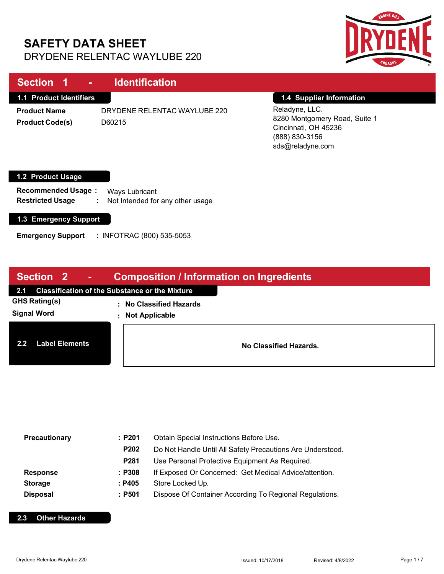# **SAFETY DATA SHEET** DRYDENE RELENTAC WAYLUBE 220



| Section 1<br><b>Contract</b>                                                                       | <b>Identification</b>                                   |                                                                                                                                           |
|----------------------------------------------------------------------------------------------------|---------------------------------------------------------|-------------------------------------------------------------------------------------------------------------------------------------------|
| <b>1.1 Product Identifiers</b><br><b>Product Name</b><br><b>Product Code(s)</b>                    | DRYDENE RELENTAC WAYLUBE 220<br>D60215                  | 1.4 Supplier Information<br>Reladyne, LLC.<br>8280 Montgomery Road, Suite 1<br>Cincinnati, OH 45236<br>(888) 830-3156<br>sds@reladyne.com |
| 1.2 Product Usage<br><b>Recommended Usage:</b><br><b>Restricted Usage</b><br>1.3 Emergency Support | Ways Lubricant<br>Not Intended for any other usage<br>÷ |                                                                                                                                           |

**Emergency Support :** INFOTRAC (800) 535-5053

| Section 2 -<br><b>Composition / Information on Ingredients</b> |                                                       |  |
|----------------------------------------------------------------|-------------------------------------------------------|--|
| <b>Classification of the Substance or the Mixture</b><br>2.1   |                                                       |  |
| <b>GHS Rating(s)</b><br>÷<br><b>Signal Word</b><br>÷           | <b>No Classified Hazards</b><br><b>Not Applicable</b> |  |
| <b>Label Elements</b><br>2.2                                   | No Classified Hazards.                                |  |

| Precautionary   | :P201  | Obtain Special Instructions Before Use.                    |  |  |
|-----------------|--------|------------------------------------------------------------|--|--|
|                 | P202   | Do Not Handle Until All Safety Precautions Are Understood. |  |  |
|                 | P281   | Use Personal Protective Equipment As Required.             |  |  |
| <b>Response</b> | : P308 | If Exposed Or Concerned: Get Medical Advice/attention.     |  |  |
| <b>Storage</b>  | : P405 | Store Locked Up.                                           |  |  |
| <b>Disposal</b> | : P501 | Dispose Of Container According To Regional Regulations.    |  |  |

### **2.3 Other Hazards**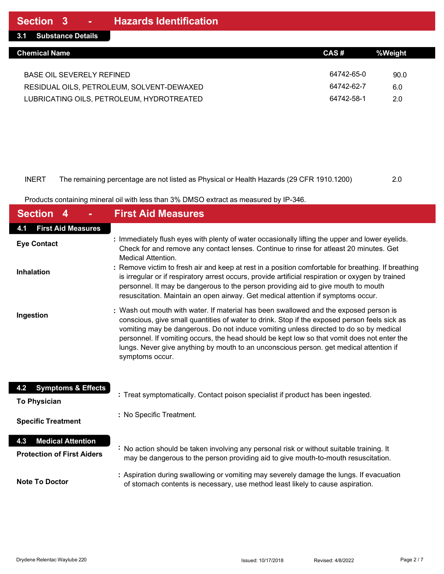### INERT The remaining percentage are not listed as Physical or Health Hazards (29 CFR 1910.1200) 2.0

Products containing mineral oil with less than 3% DMSO extract as measured by IP-346.

| <b>Section</b>                       | <b>First Aid Measures</b>                                                                                                                                                                                                                                                                                                                                                                                                                                                                  |
|--------------------------------------|--------------------------------------------------------------------------------------------------------------------------------------------------------------------------------------------------------------------------------------------------------------------------------------------------------------------------------------------------------------------------------------------------------------------------------------------------------------------------------------------|
| <b>First Aid Measures</b><br>4.1     |                                                                                                                                                                                                                                                                                                                                                                                                                                                                                            |
| <b>Eye Contact</b>                   | : Immediately flush eyes with plenty of water occasionally lifting the upper and lower eyelids.<br>Check for and remove any contact lenses. Continue to rinse for atleast 20 minutes. Get<br>Medical Attention.                                                                                                                                                                                                                                                                            |
| <b>Inhalation</b>                    | : Remove victim to fresh air and keep at rest in a position comfortable for breathing. If breathing<br>is irregular or if respiratory arrest occurs, provide artificial respiration or oxygen by trained<br>personnel. It may be dangerous to the person providing aid to give mouth to mouth<br>resuscitation. Maintain an open airway. Get medical attention if symptoms occur.                                                                                                          |
| Ingestion                            | : Wash out mouth with water. If material has been swallowed and the exposed person is<br>conscious, give small quantities of water to drink. Stop if the exposed person feels sick as<br>vomiting may be dangerous. Do not induce vomiting unless directed to do so by medical<br>personnel. If vomiting occurs, the head should be kept low so that vomit does not enter the<br>lungs. Never give anything by mouth to an unconscious person. get medical attention if<br>symptoms occur. |
| <b>Symptoms &amp; Effects</b><br>4.2 | : Treat symptomatically. Contact poison specialist if product has been ingested.                                                                                                                                                                                                                                                                                                                                                                                                           |
| <b>To Physician</b>                  |                                                                                                                                                                                                                                                                                                                                                                                                                                                                                            |
| <b>Specific Treatment</b>            | : No Specific Treatment.                                                                                                                                                                                                                                                                                                                                                                                                                                                                   |
| <b>Medical Attention</b><br>4.3      | : No action should be taken involving any personal risk or without suitable training. It                                                                                                                                                                                                                                                                                                                                                                                                   |
| <b>Protection of First Aiders</b>    | may be dangerous to the person providing aid to give mouth-to-mouth resuscitation.                                                                                                                                                                                                                                                                                                                                                                                                         |
| <b>Note To Doctor</b>                | : Aspiration during swallowing or vomiting may severely damage the lungs. If evacuation<br>of stomach contents is necessary, use method least likely to cause aspiration.                                                                                                                                                                                                                                                                                                                  |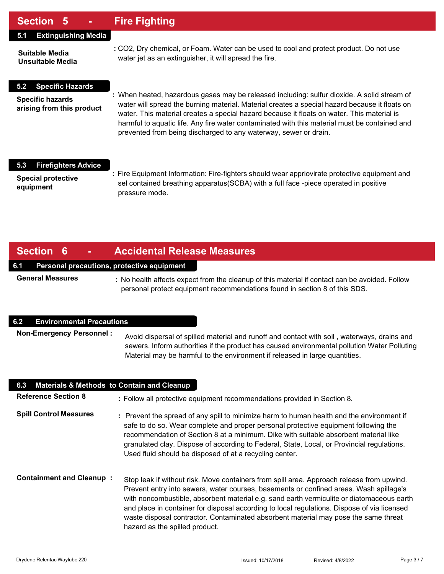## **Section 5 - Fire Fighting**

## **5.1 Extinguishing Media**

**Suitable Media Unsuitable Media**

**5.2 Specific Hazards**

**Specific hazards arising from this product**

- **:** CO2, Dry chemical, or Foam. Water can be used to cool and protect product. Do not use water jet as an extinguisher, it will spread the fire.
- **:** When heated, hazardous gases may be released including: sulfur dioxide. A solid stream of water will spread the burning material. Material creates a special hazard because it floats on water. This material creates a special hazard because it floats on water. This material is harmful to aquatic life. Any fire water contaminated with this material must be contained and prevented from being discharged to any waterway, sewer or drain.

### **5.3 Firefighters Advice**

**Special protective equipment**

**:** Fire Equipment Information: Fire-fighters should wear appriovirate protective equipment and sel contained breathing apparatus(SCBA) with a full face -piece operated in positive pressure mode.

## **Section 6 - Accidental Release Measures**

### **6.1 Personal precautions, protective equipment**

**General Measures**

**:** No health affects expect from the cleanup of this material if contact can be avoided. Follow personal protect equipment recommendations found in section 8 of this SDS.

#### **6.2 Environmental Precautions**

**Non-Emergency Personnel :** Avoid dispersal of spilled material and runoff and contact with soil , waterways, drains and sewers. Inform authorities if the product has caused environmental pollution Water Polluting Material may be harmful to the environment if released in large quantities.

| 6.3<br><b>Materials &amp; Methods to Contain and Cleanup</b> |                                                                                                                                                                                                                                                                                                                                                                                                                                                                                                          |
|--------------------------------------------------------------|----------------------------------------------------------------------------------------------------------------------------------------------------------------------------------------------------------------------------------------------------------------------------------------------------------------------------------------------------------------------------------------------------------------------------------------------------------------------------------------------------------|
| <b>Reference Section 8</b>                                   | : Follow all protective equipment recommendations provided in Section 8.                                                                                                                                                                                                                                                                                                                                                                                                                                 |
| <b>Spill Control Measures</b>                                | : Prevent the spread of any spill to minimize harm to human health and the environment if<br>safe to do so. Wear complete and proper personal protective equipment following the<br>recommendation of Section 8 at a minimum. Dike with suitable absorbent material like<br>granulated clay. Dispose of according to Federal, State, Local, or Provincial regulations.<br>Used fluid should be disposed of at a recycling center.                                                                        |
| <b>Containment and Cleanup:</b>                              | Stop leak if without risk. Move containers from spill area. Approach release from upwind.<br>Prevent entry into sewers, water courses, basements or confined areas. Wash spillage's<br>with noncombustible, absorbent material e.g. sand earth vermiculite or diatomaceous earth<br>and place in container for disposal according to local regulations. Dispose of via licensed<br>waste disposal contractor. Contaminated absorbent material may pose the same threat<br>hazard as the spilled product. |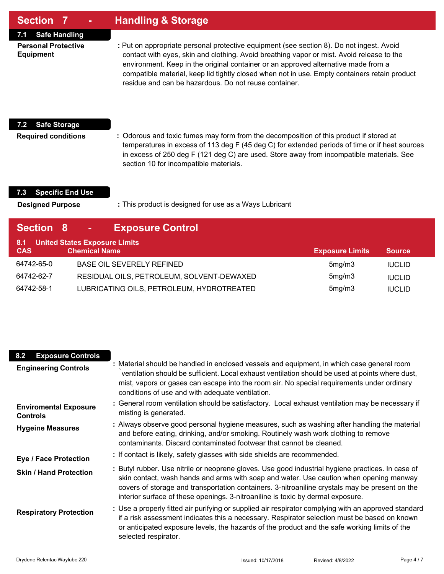| <b>Section 7</b> | <b>Handling &amp; Storage</b> |
|------------------|-------------------------------|
|------------------|-------------------------------|

**7.1 Safe Handling**

**Personal Protective Equipment**

**:** Put on appropriate personal protective equipment (see section 8). Do not ingest. Avoid contact with eyes, skin and clothing. Avoid breathing vapor or mist. Avoid release to the environment. Keep in the original container or an approved alternative made from a compatible material, keep lid tightly closed when not in use. Empty containers retain product residue and can be hazardous. Do not reuse container.

## **7.2 Safe Storage**

**Required conditions**

**:** Odorous and toxic fumes may form from the decomposition of this product if stored at temperatures in excess of 113 deg F (45 deg C) for extended periods of time or if heat sources in excess of 250 deg F (121 deg C) are used. Store away from incompatible materials. See section 10 for incompatible materials.

## **7.3 Specific End Use**

**Designed Purpose**

**:** This product is designed for use as a Ways Lubricant

| Section 8         | <b>Sec</b>                                                   | <b>Exposure Control</b>                   |                        |               |
|-------------------|--------------------------------------------------------------|-------------------------------------------|------------------------|---------------|
| 8.1<br><b>CAS</b> | <b>United States Exposure Limits</b><br><b>Chemical Name</b> |                                           | <b>Exposure Limits</b> | <b>Source</b> |
| 64742-65-0        |                                                              | <b>BASE OIL SEVERELY REFINED</b>          | 5mg/m3                 | <b>IUCLID</b> |
| 64742-62-7        |                                                              | RESIDUAL OILS, PETROLEUM, SOLVENT-DEWAXED | 5mg/m3                 | <b>IUCLID</b> |
| 64742-58-1        |                                                              | LUBRICATING OILS, PETROLEUM, HYDROTREATED | 5mg/m3                 | <b>IUCLID</b> |

| 8.2<br><b>Exposure Controls</b><br><b>Engineering Controls</b> | : Material should be handled in enclosed vessels and equipment, in which case general room<br>ventilation should be sufficient. Local exhaust ventilation should be used at points where dust,<br>mist, vapors or gases can escape into the room air. No special requirements under ordinary<br>conditions of use and with adequate ventilation.                                 |
|----------------------------------------------------------------|----------------------------------------------------------------------------------------------------------------------------------------------------------------------------------------------------------------------------------------------------------------------------------------------------------------------------------------------------------------------------------|
| <b>Enviromental Exposure</b><br><b>Controls</b>                | : General room ventilation should be satisfactory. Local exhaust ventilation may be necessary if<br>misting is generated.                                                                                                                                                                                                                                                        |
| <b>Hygeine Measures</b>                                        | : Always observe good personal hygiene measures, such as washing after handling the material<br>and before eating, drinking, and/or smoking. Routinely wash work clothing to remove<br>contaminants. Discard contaminated footwear that cannot be cleaned.                                                                                                                       |
| <b>Eye / Face Protection</b>                                   | : If contact is likely, safety glasses with side shields are recommended.                                                                                                                                                                                                                                                                                                        |
| <b>Skin / Hand Protection</b>                                  | : Butyl rubber. Use nitrile or neoprene gloves. Use good industrial hygiene practices. In case of<br>skin contact, wash hands and arms with soap and water. Use caution when opening manway<br>covers of storage and transportation containers. 3-nitroaniline crystals may be present on the<br>interior surface of these openings. 3-nitroaniline is toxic by dermal exposure. |
| <b>Respiratory Protection</b>                                  | : Use a properly fitted air purifying or supplied air respirator complying with an approved standard<br>if a risk assessment indicates this a necessary. Respirator selection must be based on known<br>or anticipated exposure levels, the hazards of the product and the safe working limits of the<br>selected respirator.                                                    |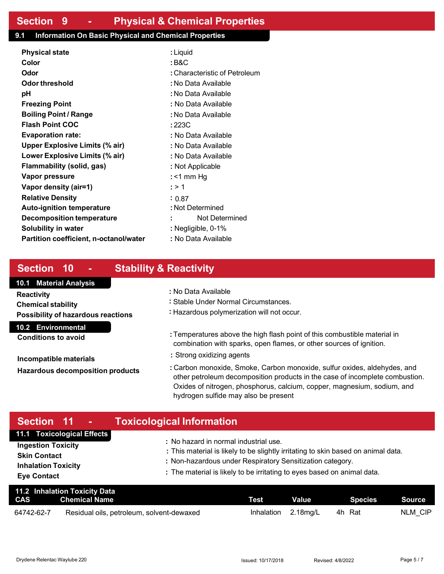## **9.1 Information On Basic Physical and Chemical Properties**

| <b>Physical state</b>                  | : Liquid                      |  |  |  |  |
|----------------------------------------|-------------------------------|--|--|--|--|
| Color                                  | : B&C                         |  |  |  |  |
| Odor                                   | : Characteristic of Petroleum |  |  |  |  |
| Odor threshold                         | : No Data Available           |  |  |  |  |
| рH                                     | : No Data Available           |  |  |  |  |
| <b>Freezing Point</b>                  | : No Data Available           |  |  |  |  |
| <b>Boiling Point / Range</b>           | : No Data Available           |  |  |  |  |
| <b>Flash Point COC</b>                 | : 223C                        |  |  |  |  |
| <b>Evaporation rate:</b>               | : No Data Available           |  |  |  |  |
| <b>Upper Explosive Limits (% air)</b>  | : No Data Available           |  |  |  |  |
| Lower Explosive Limits (% air)         | : No Data Available           |  |  |  |  |
| Flammability (solid, gas)              | : Not Applicable              |  |  |  |  |
| Vapor pressure                         | : $<$ 1 mm Hg                 |  |  |  |  |
| Vapor density (air=1)                  | : > 1                         |  |  |  |  |
| <b>Relative Density</b>                | : 0.87                        |  |  |  |  |
| <b>Auto-ignition temperature</b>       | : Not Determined              |  |  |  |  |
| Decomposition temperature              | Not Determined                |  |  |  |  |
| <b>Solubility in water</b>             | : Negligible, 0-1%            |  |  |  |  |
| Partition coefficient, n-octanol/water | : No Data Available           |  |  |  |  |
|                                        |                               |  |  |  |  |

# **Section 10 - Stability & Reactivity**

## **10.1 Material Analysis**

**Reactivity Chemical stability Possibility of hazardous reactions** 

**10.2 Environmental**

**Conditions to avoid**

**Incompatible materials Hazardous decomposition products**

- **:** No Data Available
- **:** Stable Under Normal Circumstances.
- **:** Hazardous polymerization will not occur.
- **:** Temperatures above the high flash point of this combustible material in combination with sparks, open flames, or other sources of ignition.
- **:** Strong oxidizing agents
- **:** Carbon monoxide, Smoke, Carbon monoxide, sulfur oxides, aldehydes, and other petroleum decomposition products in the case of incomplete combustion. Oxides of nitrogen, phosphorus, calcium, copper, magnesium, sodium, and hydrogen sulfide may also be present

| Section 11 - I                                   | <b>Toxicological Information</b>                                                                                                     |
|--------------------------------------------------|--------------------------------------------------------------------------------------------------------------------------------------|
| 11.1 Toxicological Effects                       | : No hazard in normal industrial use.                                                                                                |
| <b>Ingestion Toxicity</b><br><b>Skin Contact</b> | : This material is likely to be slightly irritating to skin based on animal data.                                                    |
| <b>Inhalation Toxicity</b><br><b>Eye Contact</b> | : Non-hazardous under Respiratory Sensitization category.<br>: The material is likely to be irritating to eyes based on animal data. |

| 11.2 Inhalation Toxicity Data |                                           |             |          |         |         |
|-------------------------------|-------------------------------------------|-------------|----------|---------|---------|
| <b>CAS</b>                    | Chemical Name                             | <b>Test</b> | Value    | Species | Source  |
| 64742-62-7                    | Residual oils, petroleum, solvent-dewaxed | Inhalation  | 2.18ma/L | 4h Rat  | NLM CIP |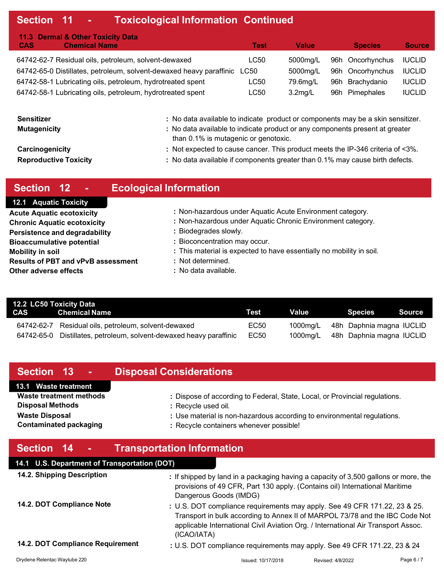# **Section 11 - Toxicological Information Continued**

| 11.3 Dermal & Other Toxicity Data                                        |      |            |                  |               |
|--------------------------------------------------------------------------|------|------------|------------------|---------------|
| <b>Chemical Name</b><br><b>CAS</b>                                       | Test | Value      | <b>Species</b>   | <b>Source</b> |
| 64742-62-7 Residual oils, petroleum, solvent-dewaxed                     | LC50 | 5000mg/L   | 96h Oncorhynchus | <b>IUCLID</b> |
| 64742-65-0 Distillates, petroleum, solvent-dewaxed heavy paraffinic LC50 |      | 5000mg/L   | 96h Oncorhynchus | <b>IUCLID</b> |
| 64742-58-1 Lubricating oils, petroleum, hydrotreated spent               | LC50 | 79.6mg/L   | 96h Brachydanio  | <b>IUCLID</b> |
| 64742-58-1 Lubricating oils, petroleum, hydrotreated spent               | LC50 | $3.2$ mg/L | 96h Pimephales   | <b>IUCLID</b> |

| <b>Sensitizer</b>            | : No data available to indicate product or components may be a skin sensitizer.                                      |
|------------------------------|----------------------------------------------------------------------------------------------------------------------|
| <b>Mutagenicity</b>          | : No data available to indicate product or any components present at greater<br>than 0.1% is mutagenic or genotoxic. |
| Carcinogenicity              | : Not expected to cause cancer. This product meets the IP-346 criteria of <3%.                                       |
| <b>Reproductive Toxicity</b> | : No data available if components greater than 0.1% may cause birth defects.                                         |

| Section 12<br>ъ                           | <b>Ecological Information</b>                                        |
|-------------------------------------------|----------------------------------------------------------------------|
| <b>12.1 Aquatic Toxicity</b>              |                                                                      |
| <b>Acute Aquatic ecotoxicity</b>          | : Non-hazardous under Aquatic Acute Environment category.            |
| <b>Chronic Aquatic ecotoxicity</b>        | : Non-hazardous under Aquatic Chronic Environment category.          |
| <b>Persistence and degradability</b>      | : Biodegrades slowly.                                                |
| <b>Bioaccumulative potential</b>          | : Bioconcentration may occur.                                        |
| <b>Mobility in soil</b>                   | : This material is expected to have essentially no mobility in soil. |
| <b>Results of PBT and vPvB assessment</b> | : Not determined.                                                    |
| Other adverse effects                     | : No data available.                                                 |

| 12.2 LC50 Toxicity Data |                                                          |      |          |                          |
|-------------------------|----------------------------------------------------------|------|----------|--------------------------|
|                         | <b>CAS</b> Chemical Name                                 | Test | Value    | Source<br>Species        |
| 64742-62-7              | Residual oils, petroleum, solvent-dewaxed                | EC50 | 1000mg/L | 48h Daphnia magna IUCLID |
| 64742-65-0              | Distillates, petroleum, solvent-dewaxed heavy paraffinic | EC50 | 1000mg/L | 48h Daphnia magna IUCLID |

| Section 13<br>$\sim$                                   | <b>Disposal Considerations</b>                                                                                                                                                                                                                 |
|--------------------------------------------------------|------------------------------------------------------------------------------------------------------------------------------------------------------------------------------------------------------------------------------------------------|
| 13.1 Waste treatment<br>Waste treatment methods        | : Dispose of according to Federal, State, Local, or Provincial regulations.                                                                                                                                                                    |
| <b>Disposal Methods</b>                                | : Recycle used oil.                                                                                                                                                                                                                            |
| <b>Waste Disposal</b><br><b>Contaminated packaging</b> | : Use material is non-hazardous according to environmental regulations.<br>: Recycle containers whenever possible!                                                                                                                             |
| Section 14<br>$\sim$                                   | <b>Transportation Information</b>                                                                                                                                                                                                              |
| 14.1 U.S. Department of Transportation (DOT)           |                                                                                                                                                                                                                                                |
| 14.2. Shipping Description                             | : If shipped by land in a packaging having a capacity of 3,500 gallons or more, the<br>provisions of 49 CFR, Part 130 apply. (Contains oil) International Maritime<br>Dangerous Goods (IMDG)                                                   |
| 14.2. DOT Compliance Note                              | : U.S. DOT compliance requirements may apply. See 49 CFR 171.22, 23 & 25.<br>Transport in bulk according to Annex II of MARPOL 73/78 and the IBC Code Not<br>applicable International Civil Aviation Org. / International Air Transport Assoc. |

(ICAO/IATA)

**14.2. DOT Compliance Requirement**

**:** U.S. DOT compliance requirements may apply. See 49 CFR 171.22, 23 & 24